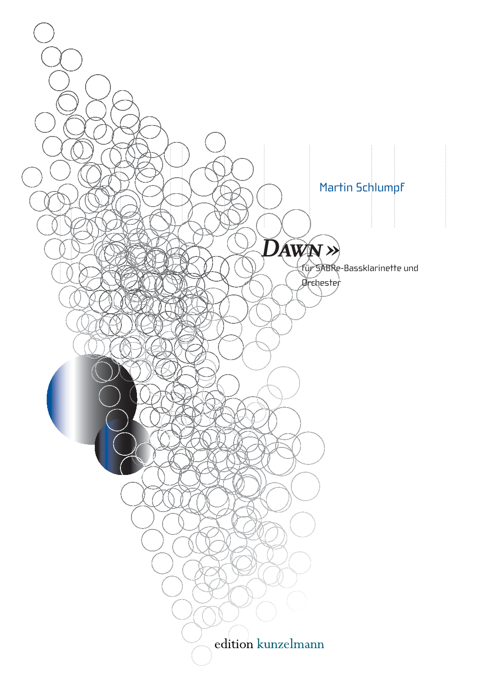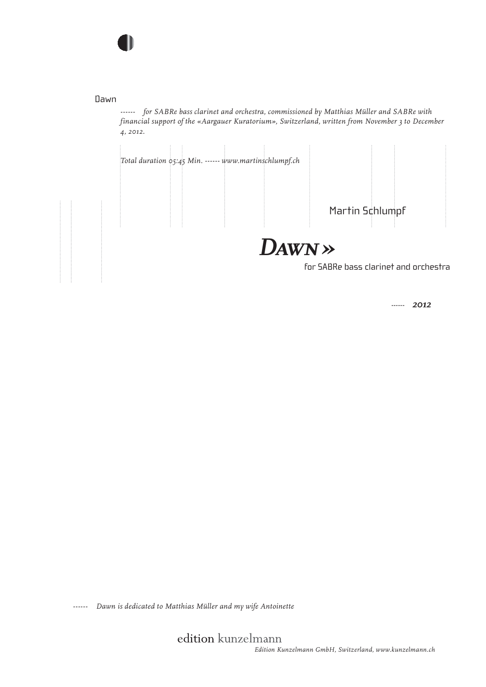Dawn

*------ for SABRe bass clarinet and orchestra, commissioned by Matthias Müller and SABRe with financial support of the «Aargauer Kuratorium», Switzerland, written from November 3 to December 4, 2012.*

*Total duration 05:45 Min. ------ www.martinschlumpf.ch* Martin Schlumpf *Dawn »* 

for SABRe bass clarinet and orchestra

*------ 2012*

*------ Dawn is dedicated to Matthias Müller and my wife Antoinette*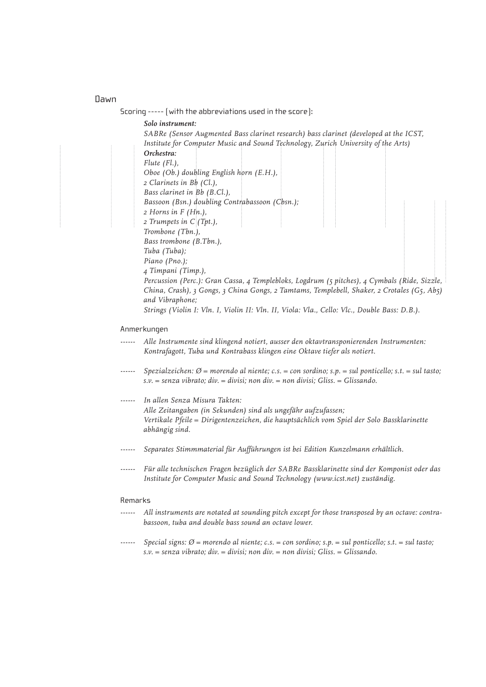### Dawn

Scoring ----- ( with the abbreviations used in the score ): *Solo instrument: SABRe (Sensor Augmented Bass clarinet research) bass clarinet (developed at the ICST, Institute for Computer Music and Sound Technology, Zurich University of the Arts) Orchestra: Flute (Fl.), Oboe (Ob.) doubling English horn (E.H.), 2 Clarinets in Bb (Cl.), Bass clarinet in Bb (B.Cl.), Bassoon (Bsn.) doubling Contrabassoon (Cbsn.); 2 Horns in F (Hn.), 2 Trumpets in C (Tpt.), Trombone (Tbn.), Bass trombone (B.Tbn.), Tuba (Tuba); Piano (Pno.); 4 Timpani (Timp.), Percussion (Perc.): Gran Cassa, 4 Templebloks, Logdrum (5 pitches), 4 Cymbals (Ride, Sizzle, China, Crash), 3 Gongs, 3 China Gongs, 2 Tamtams, Templebell, Shaker, 2 Crotales (G5, Ab5) and Vibraphone; Strings (Violin I: Vln. I, Violin II: Vln. II, Viola: Vla., Cello: Vlc., Double Bass: D.B.).*

#### Anmerkungen

- *------ Alle Instrumente sind klingend notiert, ausser den oktavtransponierenden Instrumenten: Kontrafagott, Tuba und Kontrabass klingen eine Oktave tiefer als notiert.*
- *------ Spezialzeichen: Ø = morendo al niente; c.s. = con sordino; s.p. = sul ponticello; s.t. = sul tasto; s.v. = senza vibrato; div. = divisi; non div. = non divisi; Gliss. = Glissando.*
- *------ In allen Senza Misura Takten: Alle Zeitangaben (in Sekunden) sind als ungefähr aufzufassen; Vertikale Pfeile = Dirigentenzeichen, die hauptsächlich vom Spiel der Solo Bassklarinette abhängig sind.*
- *------ Separates Stimmmaterial für Aufführungen ist bei Edition Kunzelmann erhältlich.*
- *------ Für alle technischen Fragen bezüglich der SABRe Bassklarinette sind der Komponist oder das Institute for Computer Music and Sound Technology (www.icst.net) zuständig.*

#### Remarks

- *------ All instruments are notated at sounding pitch except for those transposed by an octave: contrabassoon, tuba and double bass sound an octave lower.*
- *------ Special signs: Ø = morendo al niente; c.s. = con sordino; s.p. = sul ponticello; s.t. = sul tasto; s.v. = senza vibrato; div. = divisi; non div. = non divisi; Gliss. = Glissando.*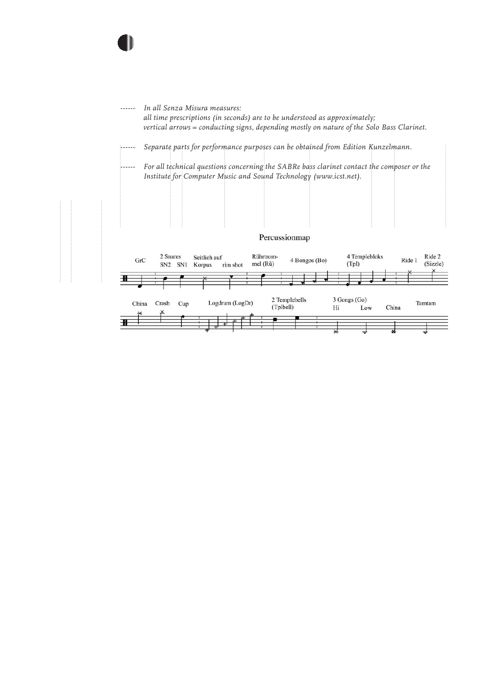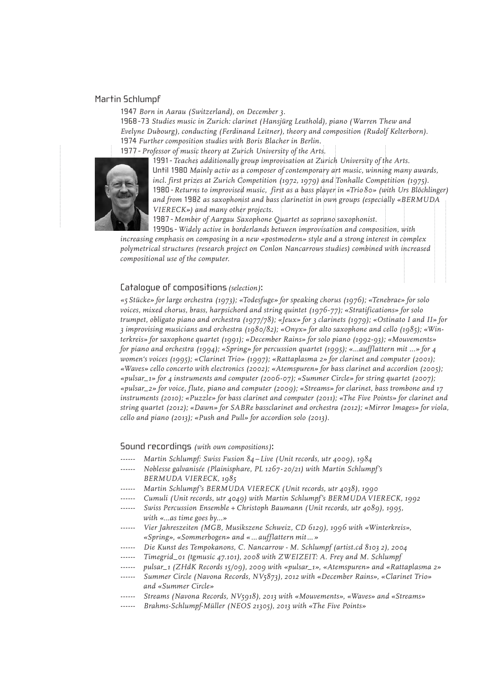## Martin Schlumpf

1947 *Born in Aarau (Switzerland), on December 3.* 1968-73 *Studies music in Zurich: clarinet (Hansjürg Leuthold), piano (Warren Thew and Evelyne Dubourg), conducting (Ferdinand Leitner), theory and composition (Rudolf Kelterborn).* 1974 *Further composition studies with Boris Blacher in Berlin.*

1977-*Professor of music theory at Zurich University of the Arts.* 



1991-*Teaches additionally group improvisation at Zurich University of the Arts.* Until 1980 *Mainly activ as a composer of contemporary art music, winning many awards, incl. first prizes at Zurich Competition (1972, 1979) and Tonhalle Competition (1975).* 1980 -*Returns to improvised music, first as a bass player in «Trio 80» (with Urs Blöchlinger) and from* 1982 *as saxophonist and bass clarinetist in own groups (especially «BERMUDA VIERECK») and many other projects.*

1987-*Member of Aargau Saxophone Quartet as soprano saxophonist.*

1990s -*Widely active in borderlands between improvisation and composition, with increasing emphasis on composing in a new «postmodern» style and a strong interest in complex polymetrical structures (research project on Conlon Nancarrows studies) combined with increased compositional use of the computer.*

## Catalogue of compositions*(selection)*:

*«5 Stücke» for large orchestra (1973); «Todesfuge» for speaking chorus (1976); «Tenebrae» for solo voices, mixed chorus, brass, harpsichord and string quintet (1976-77); «Stratifications» for solo trumpet, obligato piano and orchestra (1977/78); «Jeux» for 3 clarinets (1979); «Ostinato I and II» for 3 improvising musicians and orchestra (1980/82); «Onyx» for alto saxophone and cello (1985); «Winterkreis» for saxophone quartet (1991); «December Rains» for solo piano (1992-93); «Mouvements» for piano and orchestra (1994); «Spring» for percussion quartet (1995); «...auff lattern mit ...» for 4 women's voices (1995); «Clarinet Trio» (1997); «Rattaplasma 2» for clarinet and computer (2001); «Waves» cello concerto with electronics (2002); «Atemspuren» for bass clarinet and accordion (2005); «pulsar\_1» for 4 instruments and computer (2006-07); «Summer Circle» for string quartet (2007); «pulsar\_2» for voice, f lute, piano and computer (2009); «Streams» for clarinet, bass trombone and 17 instruments (2010); «Puzzle» for bass clarinet and computer (2011); «The Five Points» for clarinet and string quartet (2012); «Dawn» for SABRe bassclarinet and orchestra (2012); «Mirror Images» for viola, cello and piano (2013); «Push and Pull» for accordion solo (2013).*

Sound recordings *(with own compositions)*:

- *------ Martin Schlumpf: Swiss Fusion 84 Live (Unit records, utr 4009), 1984*
- *------ Noblesse galvanisée (Plainisphare, PL 1267 20/21) with Martin Schlumpf's BERMUDA VIERECK, 1985*
- *------ Martin Schlumpf's BERMUDA VIERECK (Unit records, utr 4038), 1990*
- *------ Cumuli (Unit records, utr 4049) with Martin Schlumpf's BERMUDAVIERECK, 1992*
- *------ Swiss Percussion Ensemble +Christoph Baumann (Unit records, utr 4089), 1995,*
- *with «...as time goes by...» ------ Vier Jahreszeiten (MGB, Musikszene Schweiz, CD 6129), 1996 with «Winterkreis»,*
- *«Spring», «Sommerbogen» and « … auff lattern mit … »*
- *------ Die Kunst des Tempokanons, C. Nancarrow M. Schlumpf (artist.cd 8103 2), 2004*
- *------ Timegrid\_01 (tgmusic 47.101), 2008 with ZWEIZEIT: A. Frey and M. Schlumpf*
- *------ pulsar\_1 (ZHdK Records 15/09), 2009 with «pulsar\_1», «Atemspuren» and «Rattaplasma 2»*

- *------ Streams (Navona Records, NV5918), 2013 with «Mouvements», «Waves» and «Streams»*
- *------ Brahms-Schlumpf-Müller (NEOS 21305), 2013 with «The Five Points»*

*<sup>------</sup> Summer Circle (Navona Records, NV5873), 2012 with «December Rains», «Clarinet Trio» and «Summer Circle»*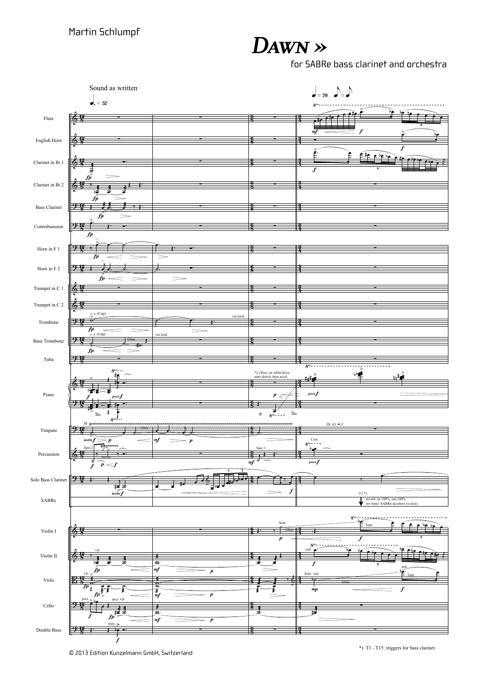# Martin Schlumpf<br>
Martin Schlumpf<br>
Martin Schlumpf<br>
Martin Schlumpf<br>
Martin Schlumpf

for SABRe bass clarinet and orchestra

|                             | Sound as written<br>$\bullet$ , = 52 |                                                                     |                                                             | $\bullet$ = 78                                                 |
|-----------------------------|--------------------------------------|---------------------------------------------------------------------|-------------------------------------------------------------|----------------------------------------------------------------|
|                             |                                      |                                                                     |                                                             | $8^{\alpha- - -}$                                              |
| Flute                       |                                      |                                                                     | 뵹                                                           |                                                                |
|                             |                                      |                                                                     |                                                             |                                                                |
|                             |                                      |                                                                     |                                                             | $\boldsymbol{f}$<br>mf                                         |
| English Horn                | 6                                    |                                                                     | 향                                                           |                                                                |
|                             |                                      |                                                                     |                                                             | $\boldsymbol{f}$<br>È                                          |
|                             |                                      |                                                                     |                                                             | €⊭<br>e be be                                                  |
| Clarinet in $\rm B\flat$ 1  | 63                                   |                                                                     |                                                             |                                                                |
|                             |                                      |                                                                     |                                                             | f                                                              |
|                             | fp                                   |                                                                     |                                                             |                                                                |
| Clarinet in $\rm B\flat\,2$ |                                      |                                                                     | 8                                                           | ö                                                              |
|                             |                                      |                                                                     |                                                             |                                                                |
|                             | fр                                   |                                                                     |                                                             |                                                                |
| <b>Bass Clarinet</b>        | ッ                                    |                                                                     |                                                             |                                                                |
|                             | fр                                   |                                                                     |                                                             |                                                                |
| Contrabassoon               | うち                                   |                                                                     | ×                                                           |                                                                |
|                             | $\boldsymbol{fp}$                    |                                                                     |                                                             |                                                                |
|                             |                                      |                                                                     |                                                             |                                                                |
| Horn in F 1                 | 9.                                   |                                                                     | 뿅                                                           |                                                                |
|                             | fp                                   | $\geq$                                                              |                                                             |                                                                |
|                             | <u>9 k</u>                           |                                                                     |                                                             | Ÿ                                                              |
| Horn in F 2                 |                                      |                                                                     | \$                                                          |                                                                |
|                             | fp                                   |                                                                     |                                                             |                                                                |
| Trumpet in $C1$             | 6 <sup>12</sup>                      |                                                                     | Ë                                                           | ö                                                              |
|                             |                                      |                                                                     |                                                             |                                                                |
| Trumpet in C $2\,$          | $6\%$                                |                                                                     |                                                             |                                                                |
|                             | $\sum_{k=1}^{n}$ S. (Cup)            |                                                                     |                                                             |                                                                |
| Trombone                    | $-9.18$                              | via sord                                                            |                                                             |                                                                |
|                             |                                      | ℸ                                                                   |                                                             |                                                                |
|                             | $\overline{fp}$ $\overline{cp}$      | via sord.                                                           |                                                             |                                                                |
| <b>Bass Trombone</b>        | つき<br>Gliss.<br>ŧ.                   |                                                                     | \$                                                          |                                                                |
|                             | fp                                   |                                                                     |                                                             |                                                                |
| Tuba                        | <del></del>                          |                                                                     |                                                             |                                                                |
|                             |                                      |                                                                     |                                                             |                                                                |
|                             |                                      |                                                                     |                                                             | $8^{\mathrm{ra}}$                                              |
|                             | $8^{va}$ - -<br>Ï€                   |                                                                     |                                                             | 师季<br>₹                                                        |
|                             |                                      |                                                                     | $*$ ): Gliss. on white keys,<br>start slowly then accel.    | توازا                                                          |
|                             |                                      |                                                                     |                                                             |                                                                |
| Piano                       | poco <sub>1</sub>                    |                                                                     | $\boldsymbol{p}$<br>$^{*}$                                  | $poco$ $f$                                                     |
|                             | ∵                                    |                                                                     | $\overline{\mathbf{e}}$ :                                   |                                                                |
|                             | ₹<br>Ro.                             |                                                                     | $\mathfrak{X}\hspace{-1pt}\mathfrak{d}_0$<br>$\hat{\theta}$ |                                                                |
|                             | $III$ $q$                            |                                                                     | $\overrightarrow{s^{ab}}$                                   |                                                                |
| Timpani                     | י 9ב                                 |                                                                     |                                                             | III: Al $\leftrightarrow$ C                                    |
|                             |                                      |                                                                     | $\frac{6}{8}$                                               |                                                                |
|                             | molto $f = p$<br>Ý                   | mf<br>$\boldsymbol{p}$                                              |                                                             | $\operatorname{Crot}$                                          |
| Percussion                  | Tam 2<br>12<br>á                     |                                                                     | Tam 1<br>ÿ.                                                 |                                                                |
|                             |                                      |                                                                     |                                                             | $_{poco}f$                                                     |
|                             | $\vec{f}$<br>$\hat{p} < f$           | 3                                                                   | $m f \overrightarrow{x}$                                    |                                                                |
|                             | 9.                                   |                                                                     |                                                             |                                                                |
|                             |                                      | ₹                                                                   |                                                             |                                                                |
| Solo Bass Clarinet          |                                      |                                                                     | $\bm{f}$                                                    | $T1*)$                                                         |
| $\operatorname{SABRe}$      |                                      |                                                                     |                                                             |                                                                |
|                             |                                      |                                                                     |                                                             | reverb: in 100%, out 100%<br>rev-time: SABRe-accelero (x-axis) |
|                             |                                      |                                                                     |                                                             | $8^{\circ}$                                                    |
|                             |                                      |                                                                     | $\operatorname{Solo}$                                       | Tutti                                                          |
| Violin $\rm I$              |                                      |                                                                     | $\frac{1}{7}$ diss<br>$\frac{6}{8}$                         |                                                                |
|                             |                                      |                                                                     | $\pmb{p}$                                                   | f                                                              |
|                             |                                      |                                                                     |                                                             |                                                                |
| Violin II                   | t.                                   | t                                                                   |                                                             | $\delta^{va--}$                                                |
|                             |                                      | $\overline{\mathbf{e}}$                                             |                                                             | $\boldsymbol{f}$                                               |
|                             | s.p.                                 | mf<br>$\boldsymbol{p}$                                              |                                                             | ord                                                            |
| Viola                       |                                      | ≉                                                                   |                                                             | Solo ord.<br>$P_{\text{max}}$ .<br>$\overline{\mathcal{P}}$    |
|                             |                                      |                                                                     |                                                             |                                                                |
|                             |                                      | $\frac{1}{3}$<br>$\frac{2}{3}$<br>$\frac{2}{3}$<br>$\boldsymbol{p}$ |                                                             | $\boldsymbol{f}$<br>$\mathit{mp}$                              |
|                             | pizz<br>arco s.p                     |                                                                     |                                                             |                                                                |
| $\operatorname{Cell}$       |                                      | ź                                                                   | \$                                                          |                                                                |
|                             | 杖<br>fp                              | $\overline{\mathbf{e}}$<br>$\overline{p}$                           |                                                             | 급                                                              |
|                             | pizz.                                | $\it mf$                                                            |                                                             |                                                                |
| Double Bass                 | দ<br>$\pmb{f}$                       |                                                                     | 횽                                                           |                                                                |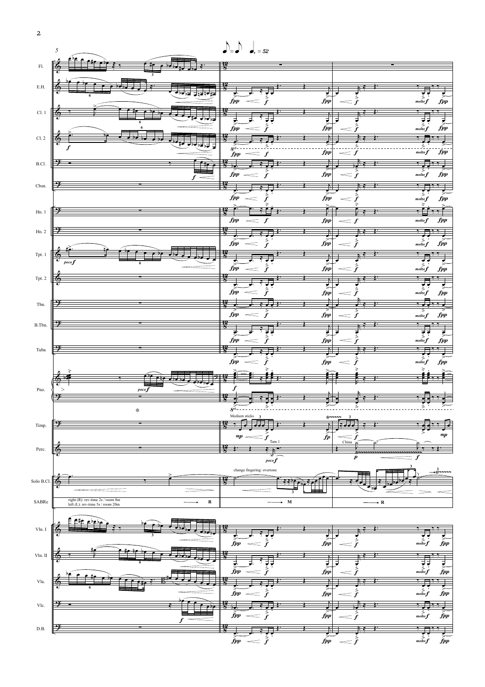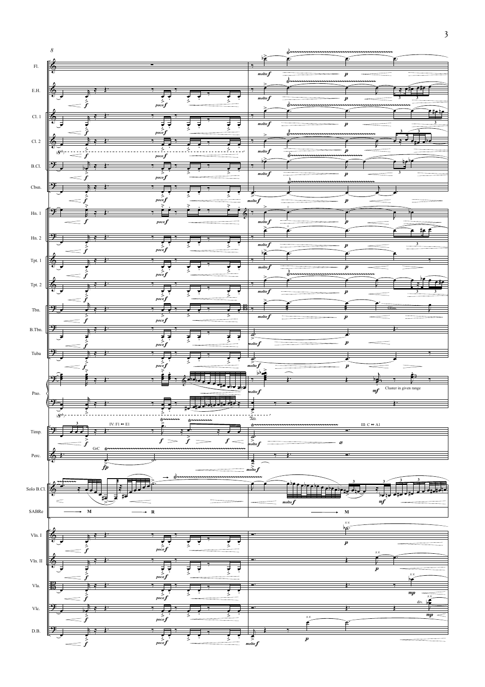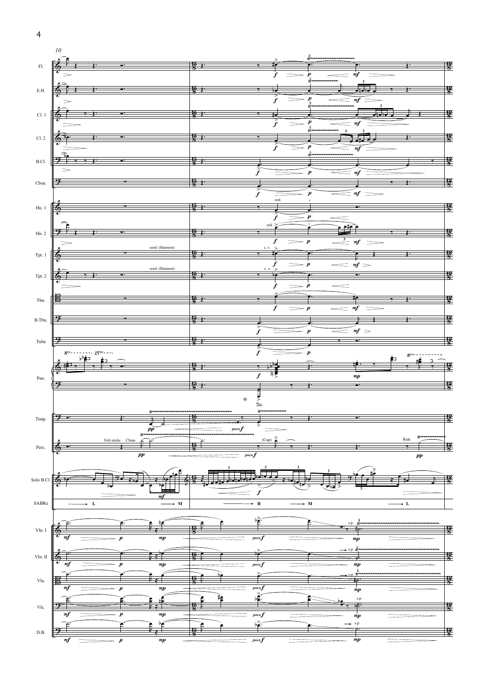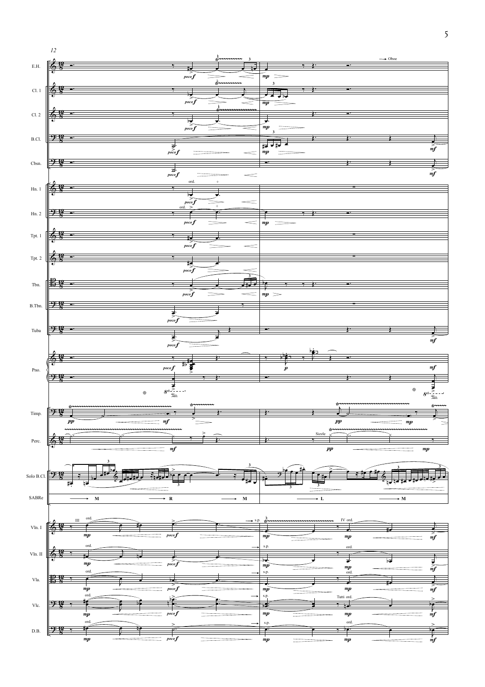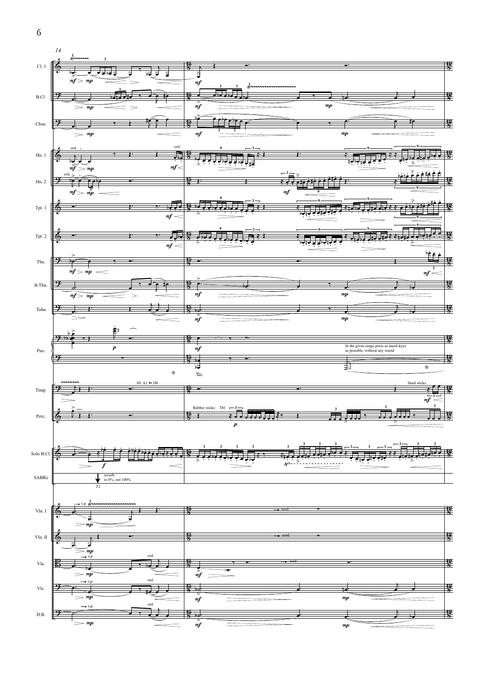